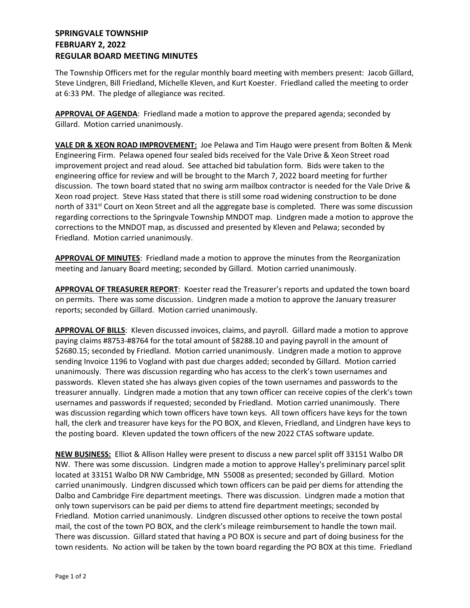## **SPRINGVALE TOWNSHIP FEBRUARY 2, 2022 REGULAR BOARD MEETING MINUTES**

The Township Officers met for the regular monthly board meeting with members present: Jacob Gillard, Steve Lindgren, Bill Friedland, Michelle Kleven, and Kurt Koester. Friedland called the meeting to order at 6:33 PM. The pledge of allegiance was recited.

**APPROVAL OF AGENDA**: Friedland made a motion to approve the prepared agenda; seconded by Gillard. Motion carried unanimously.

**VALE DR & XEON ROAD IMPROVEMENT:** Joe Pelawa and Tim Haugo were present from Bolten & Menk Engineering Firm. Pelawa opened four sealed bids received for the Vale Drive & Xeon Street road improvement project and read aloud. See attached bid tabulation form. Bids were taken to the engineering office for review and will be brought to the March 7, 2022 board meeting for further discussion. The town board stated that no swing arm mailbox contractor is needed for the Vale Drive & Xeon road project. Steve Hass stated that there is still some road widening construction to be done north of 331<sup>st</sup> Court on Xeon Street and all the aggregate base is completed. There was some discussion regarding corrections to the Springvale Township MNDOT map. Lindgren made a motion to approve the corrections to the MNDOT map, as discussed and presented by Kleven and Pelawa; seconded by Friedland. Motion carried unanimously.

**APPROVAL OF MINUTES**: Friedland made a motion to approve the minutes from the Reorganization meeting and January Board meeting; seconded by Gillard. Motion carried unanimously.

**APPROVAL OF TREASURER REPORT**: Koester read the Treasurer's reports and updated the town board on permits. There was some discussion. Lindgren made a motion to approve the January treasurer reports; seconded by Gillard. Motion carried unanimously.

**APPROVAL OF BILLS**: Kleven discussed invoices, claims, and payroll. Gillard made a motion to approve paying claims #8753-#8764 for the total amount of \$8288.10 and paying payroll in the amount of \$2680.15; seconded by Friedland. Motion carried unanimously. Lindgren made a motion to approve sending Invoice 1196 to Vogland with past due charges added; seconded by Gillard. Motion carried unanimously. There was discussion regarding who has access to the clerk's town usernames and passwords. Kleven stated she has always given copies of the town usernames and passwords to the treasurer annually. Lindgren made a motion that any town officer can receive copies of the clerk's town usernames and passwords if requested; seconded by Friedland. Motion carried unanimously. There was discussion regarding which town officers have town keys. All town officers have keys for the town hall, the clerk and treasurer have keys for the PO BOX, and Kleven, Friedland, and Lindgren have keys to the posting board. Kleven updated the town officers of the new 2022 CTAS software update.

**NEW BUSINESS:** Elliot & Allison Halley were present to discuss a new parcel split off 33151 Walbo DR NW. There was some discussion. Lindgren made a motion to approve Halley's preliminary parcel split located at 33151 Walbo DR NW Cambridge, MN 55008 as presented; seconded by Gillard. Motion carried unanimously. Lindgren discussed which town officers can be paid per diems for attending the Dalbo and Cambridge Fire department meetings. There was discussion. Lindgren made a motion that only town supervisors can be paid per diems to attend fire department meetings; seconded by Friedland. Motion carried unanimously. Lindgren discussed other options to receive the town postal mail, the cost of the town PO BOX, and the clerk's mileage reimbursement to handle the town mail. There was discussion. Gillard stated that having a PO BOX is secure and part of doing business for the town residents. No action will be taken by the town board regarding the PO BOX at this time. Friedland